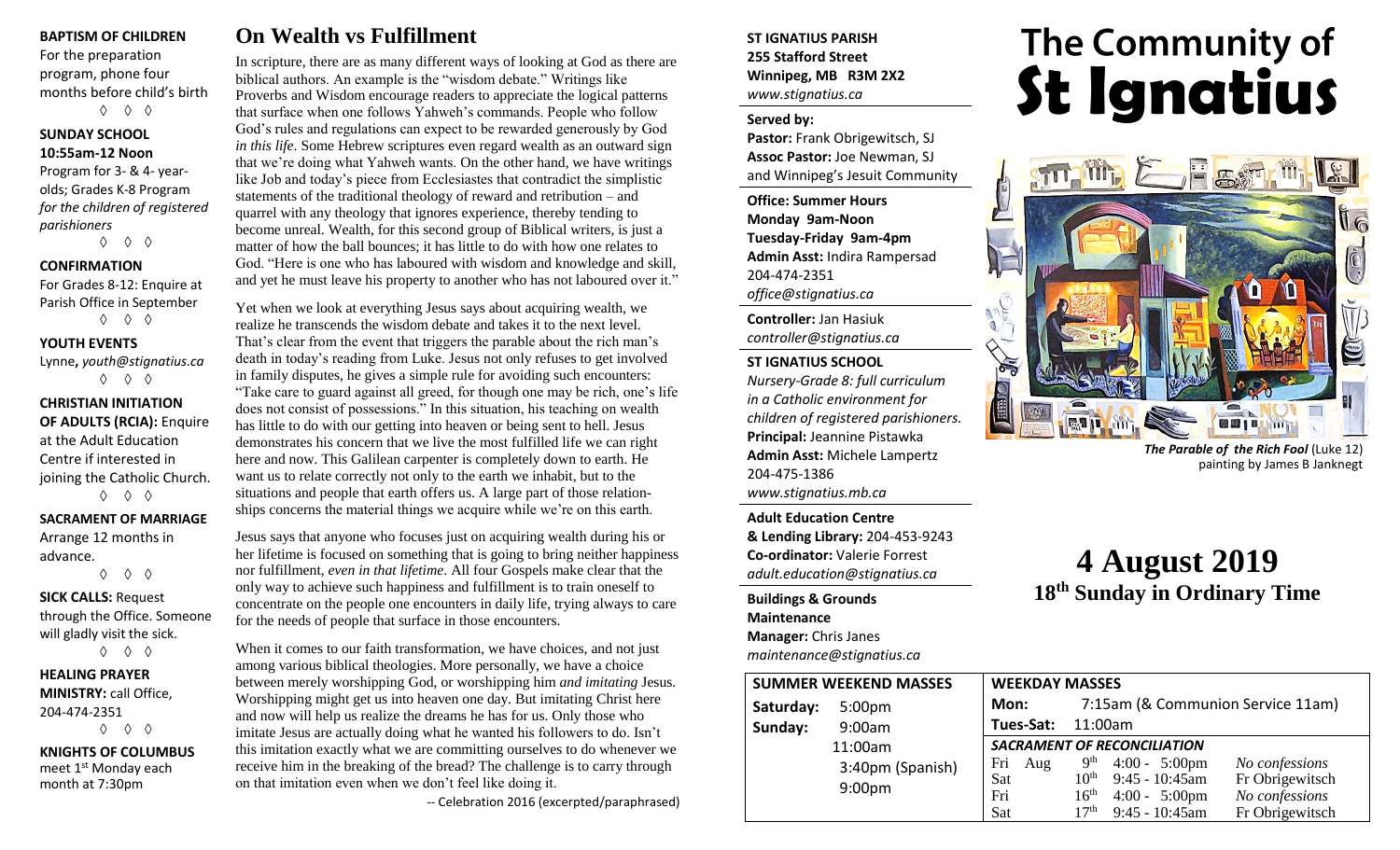#### **BAPTISM OF CHILDREN**

For the preparation program, phone four months before child's birth ◊ ◊ ◊

#### **SUNDAY SCHOOL 10:55am-12 Noon**

Program for 3- & 4- yearolds; Grades K-8 Program *for the children of registered parishioners*

◊ ◊ ◊

#### **CONFIRMATION**

For Grades 8-12: Enquire at Parish Office in September ◊ ◊ ◊

#### **YOUTH EVENTS**

Lynne**,** *youth@stignatius.ca* ◊ ◊ ◊

#### **CHRISTIAN INITIATION OF ADULTS (RCIA):** Enquire at the Adult Education Centre if interested in joining the Catholic Church. ◊ ◊ ◊

**SACRAMENT OF MARRIAGE**

Arrange 12 months in advance. ◊ ◊ ◊

### **SICK CALLS:** Request through the Office. Someone will gladly visit the sick.

◊ ◊ ◊

#### **HEALING PRAYER MINISTRY:** call Office, 204-474-2351 ◊ ◊ ◊

**KNIGHTS OF COLUMBUS** meet 1<sup>st</sup> Monday each month at 7:30pm

# **On Wealth vs Fulfillment**

In scripture, there are as many different ways of looking at God as there are biblical authors. An example is the "wisdom debate." Writings like Proverbs and Wisdom encourage readers to appreciate the logical patterns that surface when one follows Yahweh's commands. People who follow God's rules and regulations can expect to be rewarded generously by God *in this life*. Some Hebrew scriptures even regard wealth as an outward sign that we're doing what Yahweh wants. On the other hand, we have writings like Job and today's piece from Ecclesiastes that contradict the simplistic statements of the traditional theology of reward and retribution – and quarrel with any theology that ignores experience, thereby tending to become unreal. Wealth, for this second group of Biblical writers, is just a matter of how the ball bounces; it has little to do with how one relates to God. "Here is one who has laboured with wisdom and knowledge and skill, and yet he must leave his property to another who has not laboured over it."

Yet when we look at everything Jesus says about acquiring wealth, we realize he transcends the wisdom debate and takes it to the next level. That's clear from the event that triggers the parable about the rich man's death in today's reading from Luke. Jesus not only refuses to get involved in family disputes, he gives a simple rule for avoiding such encounters: "Take care to guard against all greed, for though one may be rich, one's life does not consist of possessions." In this situation, his teaching on wealth has little to do with our getting into heaven or being sent to hell. Jesus demonstrates his concern that we live the most fulfilled life we can right here and now. This Galilean carpenter is completely down to earth. He want us to relate correctly not only to the earth we inhabit, but to the situations and people that earth offers us. A large part of those relationships concerns the material things we acquire while we're on this earth.

Jesus says that anyone who focuses just on acquiring wealth during his or her lifetime is focused on something that is going to bring neither happiness nor fulfillment, *even in that lifetime*. All four Gospels make clear that the only way to achieve such happiness and fulfillment is to train oneself to concentrate on the people one encounters in daily life, trying always to care for the needs of people that surface in those encounters.

When it comes to our faith transformation, we have choices, and not just among various biblical theologies. More personally, we have a choice between merely worshipping God, or worshipping him *and imitating* Jesus. Worshipping might get us into heaven one day. But imitating Christ here and now will help us realize the dreams he has for us. Only those who imitate Jesus are actually doing what he wanted his followers to do. Isn't this imitation exactly what we are committing ourselves to do whenever we receive him in the breaking of the bread? The challenge is to carry through on that imitation even when we don't feel like doing it.

-- Celebration 2016 (excerpted/paraphrased)

#### **ST IGNATIUS PARISH 255 Stafford Street Winnipeg, MB R3M 2X2** *www.stignatius.ca*

#### **Served by:**

**Pastor:** Frank Obrigewitsch, SJ **Assoc Pastor:** Joe Newman, SJ and Winnipeg's Jesuit Community

**Office: Summer Hours Monday 9am-Noon Tuesday-Friday 9am-4pm Admin Asst:** Indira Rampersad 204-474-2351 *office@stignatius.ca*

**Controller:** Jan Hasiuk *controller@stignatius.ca*

#### **ST IGNATIUS SCHOOL**

*Nursery-Grade 8: full curriculum in a Catholic environment for children of registered parishioners.* **Principal:** Jeannine Pistawka **Admin Asst:** Michele Lampertz 204-475-1386 *www.stignatius.mb.ca*

**Adult Education Centre & Lending Library:** 204-453-9243 **Co-ordinator:** Valerie Forrest *adult.education@stignatius.ca*

**Buildings & Grounds Maintenance Manager:** Chris Janes *maintenance@stignatius.ca*

# The Community of<br>**St Ignatius**



*The Parable of the Rich Fool* (Luke 12) painting by James B Janknegt

# **4 August 2019 18 th Sunday in Ordinary Time**

| <b>SUMMER WEEKEND MASSES</b>    | <b>WEEKDAY MASSES</b> |                                                                                                                        |
|---------------------------------|-----------------------|------------------------------------------------------------------------------------------------------------------------|
| Saturday:<br>5:00 <sub>pm</sub> | Mon:                  | 7:15am (& Communion Service 11am)                                                                                      |
| Sunday:<br>9:00am               | Tues-Sat:             | 11:00am                                                                                                                |
| 11:00am                         |                       | <b>SACRAMENT OF RECONCILIATION</b>                                                                                     |
| 3:40pm (Spanish)                | Fri<br>Aug            | 9 <sup>th</sup><br>$4:00 - 5:00 \text{pm}$<br>No confessions                                                           |
| 9:00 <sub>pm</sub>              | Sat                   | $9:45 - 10:45$ am<br>Fr Obrigewitsch<br>$10^{\text{th}}$                                                               |
|                                 | Fri<br>Sat            | $16^{\rm th}$<br>$4:00 - 5:00 \text{pm}$<br>No confessions<br>17 <sup>th</sup><br>$9:45 - 10:45$ am<br>Fr Obrigewitsch |